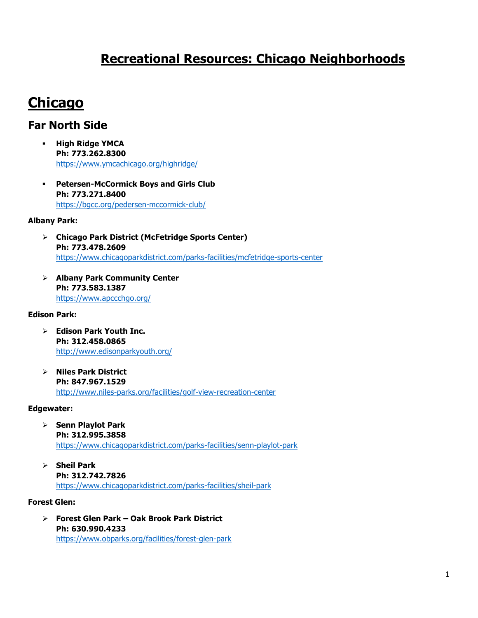# **Recreational Resources: Chicago Neighborhoods**

# **Chicago**

# **Far North Side**

- § **High Ridge YMCA Ph: 773.262.8300** https://www.ymcachicago.org/highridge/
- § **Petersen-McCormick Boys and Girls Club Ph: 773.271.8400** https://bgcc.org/pedersen-mccormick-club/

#### **Albany Park:**

- Ø **Chicago Park District (McFetridge Sports Center) Ph: 773.478.2609** https://www.chicagoparkdistrict.com/parks-facilities/mcfetridge-sports-center
- Ø **Albany Park Community Center Ph: 773.583.1387** https://www.apccchgo.org/

#### **Edison Park:**

- Ø **Edison Park Youth Inc. Ph: 312.458.0865**  http://www.edisonparkyouth.org/
- Ø **Niles Park District Ph: 847.967.1529** http://www.niles-parks.org/facilities/golf-view-recreation-center

#### **Edgewater:**

- Ø **Senn Playlot Park Ph: 312.995.3858**  https://www.chicagoparkdistrict.com/parks-facilities/senn-playlot-park
- Ø **Sheil Park Ph: 312.742.7826** https://www.chicagoparkdistrict.com/parks-facilities/sheil-park

#### **Forest Glen:**

Ø **Forest Glen Park – Oak Brook Park District Ph: 630.990.4233** https://www.obparks.org/facilities/forest-glen-park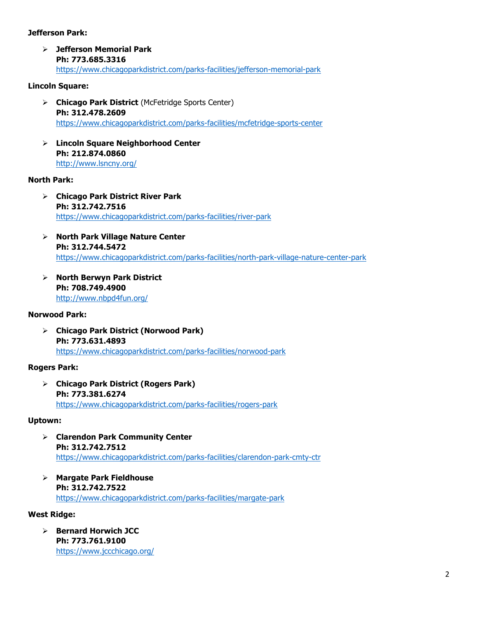#### **Jefferson Park:**

Ø **Jefferson Memorial Park Ph: 773.685.3316** https://www.chicagoparkdistrict.com/parks-facilities/jefferson-memorial-park

#### **Lincoln Square:**

- Ø **Chicago Park District** (McFetridge Sports Center) **Ph: 312.478.2609** https://www.chicagoparkdistrict.com/parks-facilities/mcfetridge-sports-center
- Ø **Lincoln Square Neighborhood Center Ph: 212.874.0860** http://www.lsncny.org/

#### **North Park:**

- Ø **Chicago Park District River Park Ph: 312.742.7516** https://www.chicagoparkdistrict.com/parks-facilities/river-park
- Ø **North Park Village Nature Center Ph: 312.744.5472** https://www.chicagoparkdistrict.com/parks-facilities/north-park-village-nature-center-park
- Ø **North Berwyn Park District Ph: 708.749.4900**  http://www.nbpd4fun.org/

#### **Norwood Park:**

Ø **Chicago Park District (Norwood Park) Ph: 773.631.4893** https://www.chicagoparkdistrict.com/parks-facilities/norwood-park

#### **Rogers Park:**

Ø **Chicago Park District (Rogers Park) Ph: 773.381.6274** https://www.chicagoparkdistrict.com/parks-facilities/rogers-park

#### **Uptown:**

- Ø **Clarendon Park Community Center Ph: 312.742.7512** https://www.chicagoparkdistrict.com/parks-facilities/clarendon-park-cmty-ctr
- Ø **Margate Park Fieldhouse Ph: 312.742.7522** https://www.chicagoparkdistrict.com/parks-facilities/margate-park

#### **West Ridge:**

Ø **Bernard Horwich JCC Ph: 773.761.9100** https://www.jccchicago.org/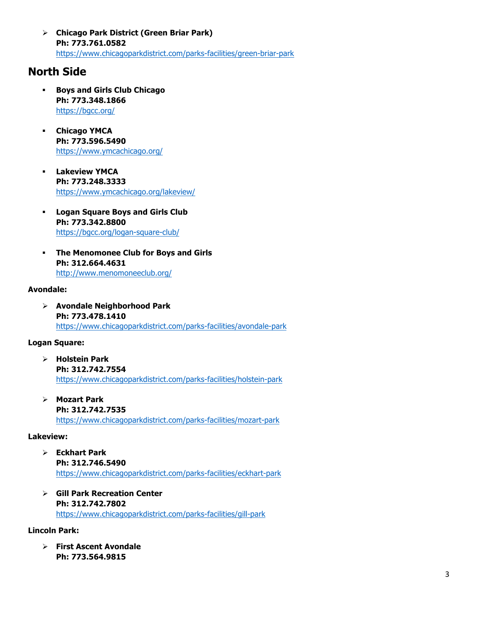Ø **Chicago Park District (Green Briar Park) Ph: 773.761.0582**  https://www.chicagoparkdistrict.com/parks-facilities/green-briar-park

# **North Side**

- § **Boys and Girls Club Chicago Ph: 773.348.1866** https://bgcc.org/
- § **Chicago YMCA Ph: 773.596.5490** https://www.ymcachicago.org/
- § **Lakeview YMCA Ph: 773.248.3333** https://www.ymcachicago.org/lakeview/
- § **Logan Square Boys and Girls Club Ph: 773.342.8800** https://bgcc.org/logan-square-club/
- § **The Menomonee Club for Boys and Girls Ph: 312.664.4631** http://www.menomoneeclub.org/

#### **Avondale:**

Ø **Avondale Neighborhood Park Ph: 773.478.1410** https://www.chicagoparkdistrict.com/parks-facilities/avondale-park

#### **Logan Square:**

- Ø **Holstein Park Ph: 312.742.7554** https://www.chicagoparkdistrict.com/parks-facilities/holstein-park
- Ø **Mozart Park Ph: 312.742.7535** https://www.chicagoparkdistrict.com/parks-facilities/mozart-park

#### **Lakeview:**

- Ø **Eckhart Park Ph: 312.746.5490**  https://www.chicagoparkdistrict.com/parks-facilities/eckhart-park
- Ø **Gill Park Recreation Center Ph: 312.742.7802** https://www.chicagoparkdistrict.com/parks-facilities/gill-park

#### **Lincoln Park:**

Ø **First Ascent Avondale Ph: 773.564.9815**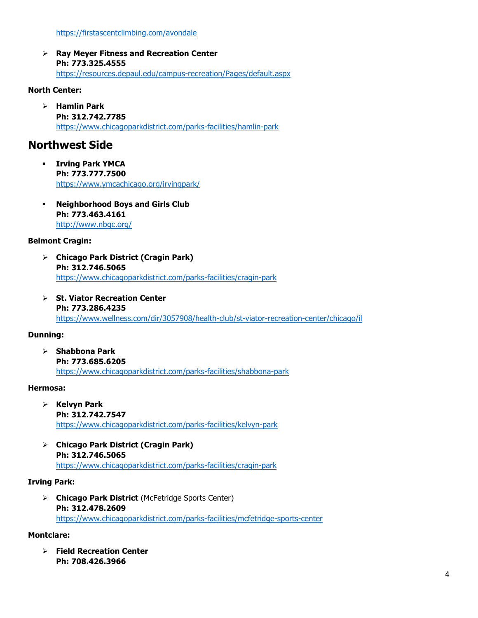Ø **Ray Meyer Fitness and Recreation Center Ph: 773.325.4555** https://resources.depaul.edu/campus-recreation/Pages/default.aspx

#### **North Center:**

Ø **Hamlin Park Ph: 312.742.7785**  https://www.chicagoparkdistrict.com/parks-facilities/hamlin-park

## **Northwest Side**

- § **Irving Park YMCA Ph: 773.777.7500** https://www.ymcachicago.org/irvingpark/
- § **Neighborhood Boys and Girls Club Ph: 773.463.4161**  http://www.nbgc.org/

#### **Belmont Cragin:**

- Ø **Chicago Park District (Cragin Park) Ph: 312.746.5065**  https://www.chicagoparkdistrict.com/parks-facilities/cragin-park
- Ø **St. Viator Recreation Center Ph: 773.286.4235** https://www.wellness.com/dir/3057908/health-club/st-viator-recreation-center/chicago/il

#### **Dunning:**

Ø **Shabbona Park Ph: 773.685.6205** https://www.chicagoparkdistrict.com/parks-facilities/shabbona-park

#### **Hermosa:**

- Ø **Kelvyn Park Ph: 312.742.7547** https://www.chicagoparkdistrict.com/parks-facilities/kelvyn-park
- Ø **Chicago Park District (Cragin Park) Ph: 312.746.5065** https://www.chicagoparkdistrict.com/parks-facilities/cragin-park

#### **Irving Park:**

Ø **Chicago Park District** (McFetridge Sports Center) **Ph: 312.478.2609** https://www.chicagoparkdistrict.com/parks-facilities/mcfetridge-sports-center

#### **Montclare:**

Ø **Field Recreation Center Ph: 708.426.3966**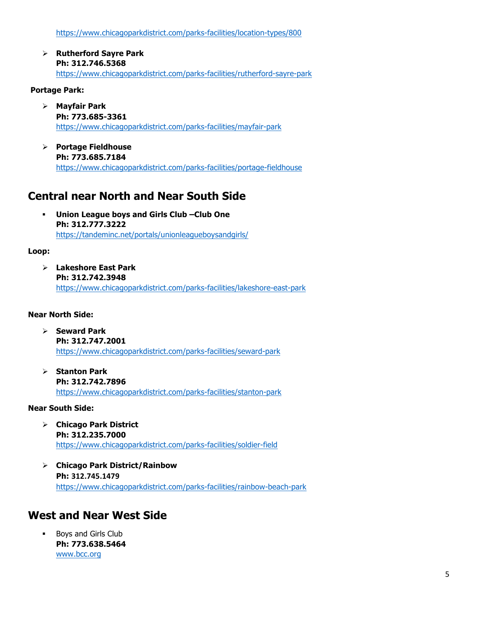https://www.chicagoparkdistrict.com/parks-facilities/location-types/800

Ø **Rutherford Sayre Park Ph: 312.746.5368** https://www.chicagoparkdistrict.com/parks-facilities/rutherford-sayre-park

#### **Portage Park:**

- Ø **Mayfair Park Ph: 773.685-3361** https://www.chicagoparkdistrict.com/parks-facilities/mayfair-park
- Ø **Portage Fieldhouse Ph: 773.685.7184** https://www.chicagoparkdistrict.com/parks-facilities/portage-fieldhouse

### **Central near North and Near South Side**

§ **Union League boys and Girls Club –Club One Ph: 312.777.3222** https://tandeminc.net/portals/unionleagueboysandgirls/

#### **Loop:**

Ø **Lakeshore East Park Ph: 312.742.3948** https://www.chicagoparkdistrict.com/parks-facilities/lakeshore-east-park

#### **Near North Side:**

- Ø **Seward Park Ph: 312.747.2001** https://www.chicagoparkdistrict.com/parks-facilities/seward-park
- Ø **Stanton Park Ph: 312.742.7896** https://www.chicagoparkdistrict.com/parks-facilities/stanton-park

#### **Near South Side:**

- Ø **Chicago Park District Ph: 312.235.7000** https://www.chicagoparkdistrict.com/parks-facilities/soldier-field
- Ø **Chicago Park District/Rainbow Ph: 312.745.1479** https://www.chicagoparkdistrict.com/parks-facilities/rainbow-beach-park

### **West and Near West Side**

§ Boys and Girls Club **Ph: 773.638.5464** www.bcc.org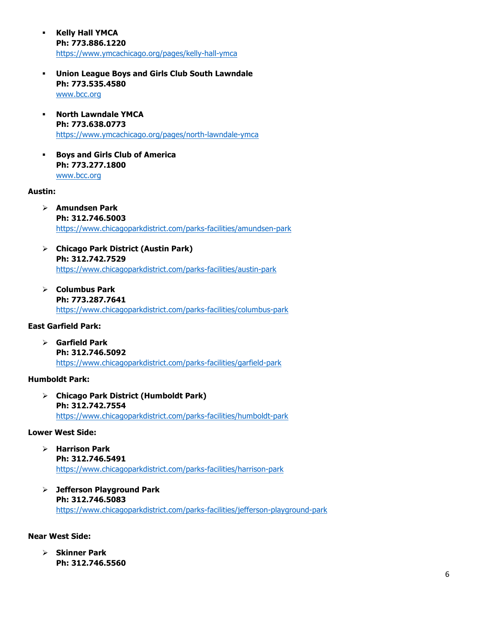- § **Kelly Hall YMCA Ph: 773.886.1220** https://www.ymcachicago.org/pages/kelly-hall-ymca
- § **Union League Boys and Girls Club South Lawndale Ph: 773.535.4580** www.bcc.org
- § **North Lawndale YMCA Ph: 773.638.0773** https://www.ymcachicago.org/pages/north-lawndale-ymca
- § **Boys and Girls Club of America Ph: 773.277.1800**  www.bcc.org

#### **Austin:**

- Ø **Amundsen Park Ph: 312.746.5003**  https://www.chicagoparkdistrict.com/parks-facilities/amundsen-park
- Ø **Chicago Park District (Austin Park) Ph: 312.742.7529** https://www.chicagoparkdistrict.com/parks-facilities/austin-park
- Ø **Columbus Park Ph: 773.287.7641** https://www.chicagoparkdistrict.com/parks-facilities/columbus-park

#### **East Garfield Park:**

Ø **Garfield Park Ph: 312.746.5092** https://www.chicagoparkdistrict.com/parks-facilities/garfield-park

#### **Humboldt Park:**

Ø **Chicago Park District (Humboldt Park) Ph: 312.742.7554** https://www.chicagoparkdistrict.com/parks-facilities/humboldt-park

#### **Lower West Side:**

- Ø **Harrison Park Ph: 312.746.5491**  https://www.chicagoparkdistrict.com/parks-facilities/harrison-park
- Ø **Jefferson Playground Park Ph: 312.746.5083** https://www.chicagoparkdistrict.com/parks-facilities/jefferson-playground-park

#### **Near West Side:**

Ø **Skinner Park Ph: 312.746.5560**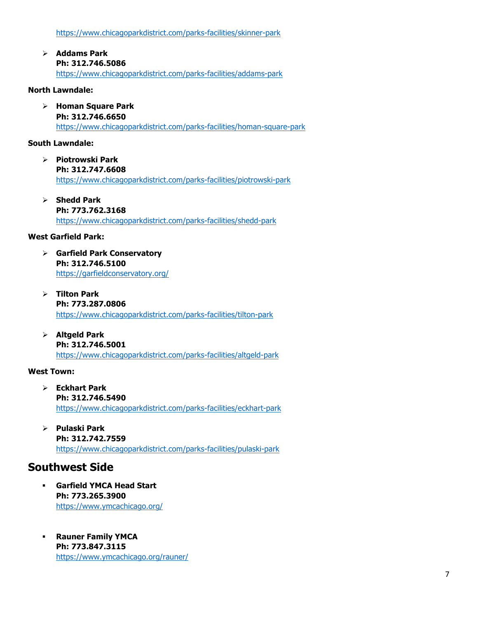https://www.chicagoparkdistrict.com/parks-facilities/skinner-park

Ø **Addams Park Ph: 312.746.5086** https://www.chicagoparkdistrict.com/parks-facilities/addams-park

#### **North Lawndale:**

Ø **Homan Square Park Ph: 312.746.6650** https://www.chicagoparkdistrict.com/parks-facilities/homan-square-park

#### **South Lawndale:**

- Ø **Piotrowski Park Ph: 312.747.6608** https://www.chicagoparkdistrict.com/parks-facilities/piotrowski-park
- Ø **Shedd Park Ph: 773.762.3168** https://www.chicagoparkdistrict.com/parks-facilities/shedd-park

#### **West Garfield Park:**

- Ø **Garfield Park Conservatory Ph: 312.746.5100** https://garfieldconservatory.org/
- Ø **Tilton Park Ph: 773.287.0806** https://www.chicagoparkdistrict.com/parks-facilities/tilton-park
- Ø **Altgeld Park Ph: 312.746.5001** https://www.chicagoparkdistrict.com/parks-facilities/altgeld-park

#### **West Town:**

- Ø **Eckhart Park Ph: 312.746.5490**  https://www.chicagoparkdistrict.com/parks-facilities/eckhart-park
- Ø **Pulaski Park Ph: 312.742.7559** https://www.chicagoparkdistrict.com/parks-facilities/pulaski-park

### **Southwest Side**

- § **Garfield YMCA Head Start Ph: 773.265.3900** https://www.ymcachicago.org/
- § **Rauner Family YMCA Ph: 773.847.3115** https://www.ymcachicago.org/rauner/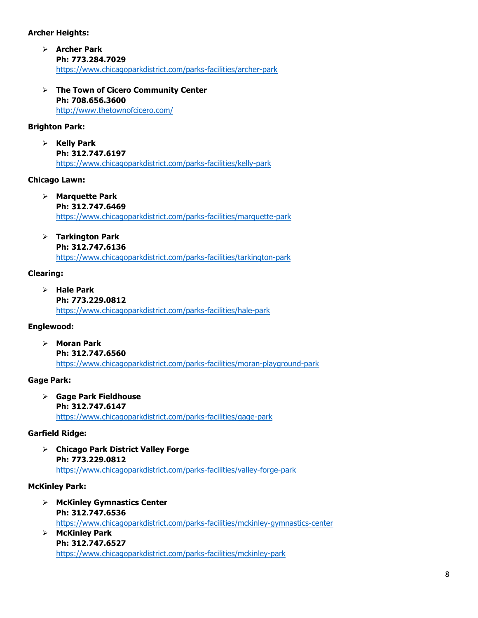#### **Archer Heights:**

- Ø **Archer Park Ph: 773.284.7029**  https://www.chicagoparkdistrict.com/parks-facilities/archer-park
- Ø **The Town of Cicero Community Center Ph: 708.656.3600** http://www.thetownofcicero.com/

#### **Brighton Park:**

Ø **Kelly Park Ph: 312.747.6197**  https://www.chicagoparkdistrict.com/parks-facilities/kelly-park

#### **Chicago Lawn:**

- Ø **Marquette Park Ph: 312.747.6469** https://www.chicagoparkdistrict.com/parks-facilities/marquette-park
- Ø **Tarkington Park**

```
Ph: 312.747.6136
```
https://www.chicagoparkdistrict.com/parks-facilities/tarkington-park

#### **Clearing:**

Ø **Hale Park Ph: 773.229.0812** https://www.chicagoparkdistrict.com/parks-facilities/hale-park

#### **Englewood:**

Ø **Moran Park Ph: 312.747.6560** https://www.chicagoparkdistrict.com/parks-facilities/moran-playground-park

#### **Gage Park:**

Ø **Gage Park Fieldhouse Ph: 312.747.6147** https://www.chicagoparkdistrict.com/parks-facilities/gage-park

#### **Garfield Ridge:**

Ø **Chicago Park District Valley Forge Ph: 773.229.0812** https://www.chicagoparkdistrict.com/parks-facilities/valley-forge-park

#### **McKinley Park:**

- Ø **McKinley Gymnastics Center Ph: 312.747.6536** https://www.chicagoparkdistrict.com/parks-facilities/mckinley-gymnastics-center Ø **McKinley Park**
- **Ph: 312.747.6527** https://www.chicagoparkdistrict.com/parks-facilities/mckinley-park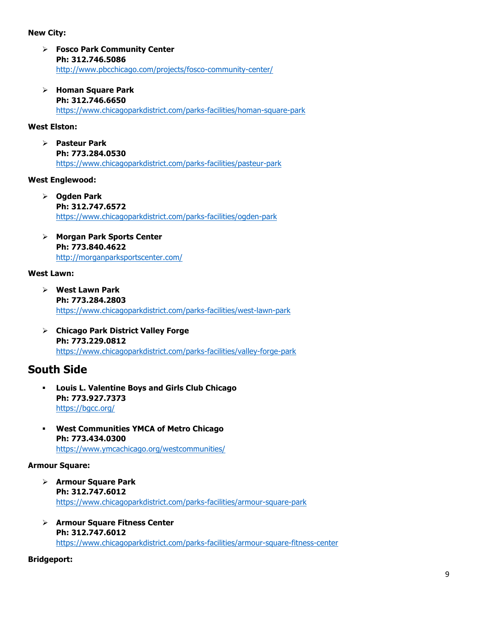#### **New City:**

- Ø **Fosco Park Community Center Ph: 312.746.5086** http://www.pbcchicago.com/projects/fosco-community-center/
- Ø **Homan Square Park Ph: 312.746.6650** https://www.chicagoparkdistrict.com/parks-facilities/homan-square-park

#### **West Elston:**

Ø **Pasteur Park Ph: 773.284.0530** https://www.chicagoparkdistrict.com/parks-facilities/pasteur-park

#### **West Englewood:**

- Ø **Ogden Park Ph: 312.747.6572** https://www.chicagoparkdistrict.com/parks-facilities/ogden-park
- Ø **Morgan Park Sports Center Ph: 773.840.4622** http://morganparksportscenter.com/

#### **West Lawn:**

- Ø **West Lawn Park Ph: 773.284.2803** https://www.chicagoparkdistrict.com/parks-facilities/west-lawn-park
- Ø **Chicago Park District Valley Forge Ph: 773.229.0812** https://www.chicagoparkdistrict.com/parks-facilities/valley-forge-park

### **South Side**

- § **Louis L. Valentine Boys and Girls Club Chicago Ph: 773.927.7373** https://bgcc.org/
- § **West Communities YMCA of Metro Chicago Ph: 773.434.0300** https://www.ymcachicago.org/westcommunities/

#### **Armour Square:**

- Ø **Armour Square Park Ph: 312.747.6012** https://www.chicagoparkdistrict.com/parks-facilities/armour-square-park
- Ø **Armour Square Fitness Center Ph: 312.747.6012** https://www.chicagoparkdistrict.com/parks-facilities/armour-square-fitness-center

#### **Bridgeport:**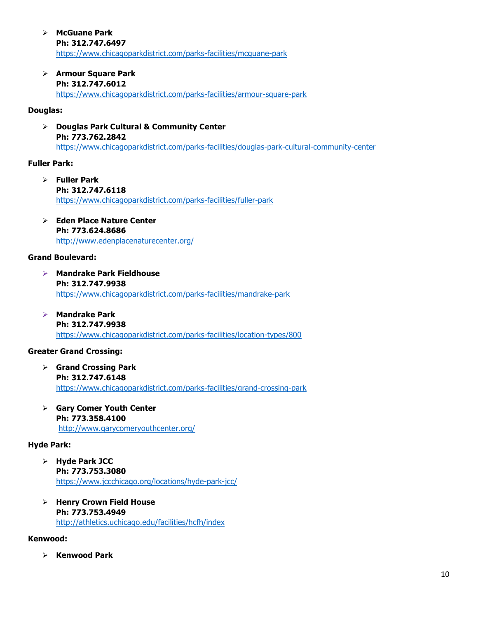Ø **McGuane Park Ph: 312.747.6497** https://www.chicagoparkdistrict.com/parks-facilities/mcguane-park

Ø **Armour Square Park Ph: 312.747.6012**

https://www.chicagoparkdistrict.com/parks-facilities/armour-square-park

#### **Douglas:**

Ø **Douglas Park Cultural & Community Center Ph: 773.762.2842** https://www.chicagoparkdistrict.com/parks-facilities/douglas-park-cultural-community-center

#### **Fuller Park:**

- Ø **Fuller Park Ph: 312.747.6118** https://www.chicagoparkdistrict.com/parks-facilities/fuller-park
- Ø **Eden Place Nature Center Ph: 773.624.8686**  http://www.edenplacenaturecenter.org/

#### **Grand Boulevard:**

- Ø **Mandrake Park Fieldhouse Ph: 312.747.9938** https://www.chicagoparkdistrict.com/parks-facilities/mandrake-park
- Ø **Mandrake Park Ph: 312.747.9938** https://www.chicagoparkdistrict.com/parks-facilities/location-types/800

#### **Greater Grand Crossing:**

- Ø **Grand Crossing Park Ph: 312.747.6148** https://www.chicagoparkdistrict.com/parks-facilities/grand-crossing-park
- Ø **Gary Comer Youth Center Ph: 773.358.4100** http://www.garycomeryouthcenter.org/

#### **Hyde Park:**

- Ø **Hyde Park JCC Ph: 773.753.3080** https://www.jccchicago.org/locations/hyde-park-jcc/
- Ø **Henry Crown Field House Ph: 773.753.4949** http://athletics.uchicago.edu/facilities/hcfh/index

#### **Kenwood:**

Ø **Kenwood Park**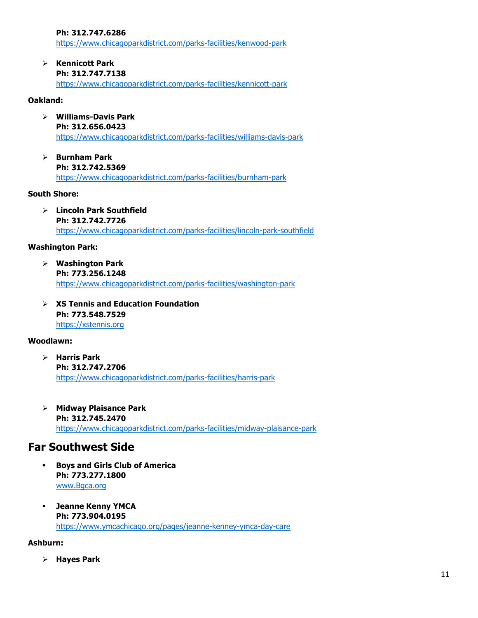**Ph: 312.747.6286**

https://www.chicagoparkdistrict.com/parks-facilities/kenwood-park

Ø **Kennicott Park Ph: 312.747.7138** 

https://www.chicagoparkdistrict.com/parks-facilities/kennicott-park

#### **Oakland:**

- Ø **Williams-Davis Park Ph: 312.656.0423** https://www.chicagoparkdistrict.com/parks-facilities/williams-davis-park
- Ø **Burnham Park Ph: 312.742.5369** https://www.chicagoparkdistrict.com/parks-facilities/burnham-park

#### **South Shore:**

Ø **Lincoln Park Southfield Ph: 312.742.7726** https://www.chicagoparkdistrict.com/parks-facilities/lincoln-park-southfield

#### **Washington Park:**

- Ø **Washington Park Ph: 773.256.1248** https://www.chicagoparkdistrict.com/parks-facilities/washington-park
- Ø **XS Tennis and Education Foundation Ph: 773.548.7529** https://xstennis.org

#### **Woodlawn:**

- Ø **Harris Park Ph: 312.747.2706** https://www.chicagoparkdistrict.com/parks-facilities/harris-park
- Ø **Midway Plaisance Park Ph: 312.745.2470** https://www.chicagoparkdistrict.com/parks-facilities/midway-plaisance-park

## **Far Southwest Side**

- § **Boys and Girls Club of America Ph: 773.277.1800** www.Bgca.org
- § **Jeanne Kenny YMCA Ph: 773.904.0195** https://www.ymcachicago.org/pages/jeanne-kenney-ymca-day-care

#### **Ashburn:**

Ø **Hayes Park**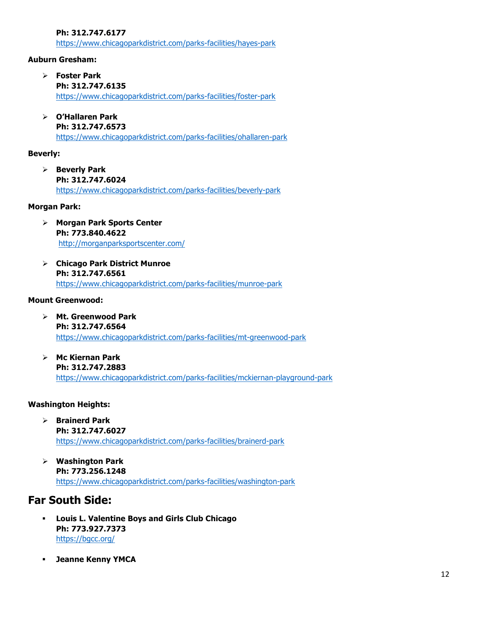**Ph: 312.747.6177**

https://www.chicagoparkdistrict.com/parks-facilities/hayes-park

#### **Auburn Gresham:**

- Ø **Foster Park** 
	- **Ph: 312.747.6135**

https://www.chicagoparkdistrict.com/parks-facilities/foster-park

Ø **O'Hallaren Park Ph: 312.747.6573**

https://www.chicagoparkdistrict.com/parks-facilities/ohallaren-park

#### **Beverly:**

Ø **Beverly Park Ph: 312.747.6024** https://www.chicagoparkdistrict.com/parks-facilities/beverly-park

#### **Morgan Park:**

- Ø **Morgan Park Sports Center Ph: 773.840.4622** http://morganparksportscenter.com/
- Ø **Chicago Park District Munroe Ph: 312.747.6561** https://www.chicagoparkdistrict.com/parks-facilities/munroe-park

#### **Mount Greenwood:**

- Ø **Mt. Greenwood Park Ph: 312.747.6564** https://www.chicagoparkdistrict.com/parks-facilities/mt-greenwood-park
- Ø **Mc Kiernan Park Ph: 312.747.2883** https://www.chicagoparkdistrict.com/parks-facilities/mckiernan-playground-park

#### **Washington Heights:**

- Ø **Brainerd Park Ph: 312.747.6027** https://www.chicagoparkdistrict.com/parks-facilities/brainerd-park
- Ø **Washington Park Ph: 773.256.1248** https://www.chicagoparkdistrict.com/parks-facilities/washington-park

# **Far South Side:**

- § **Louis L. Valentine Boys and Girls Club Chicago Ph: 773.927.7373** https://bgcc.org/
- § **Jeanne Kenny YMCA**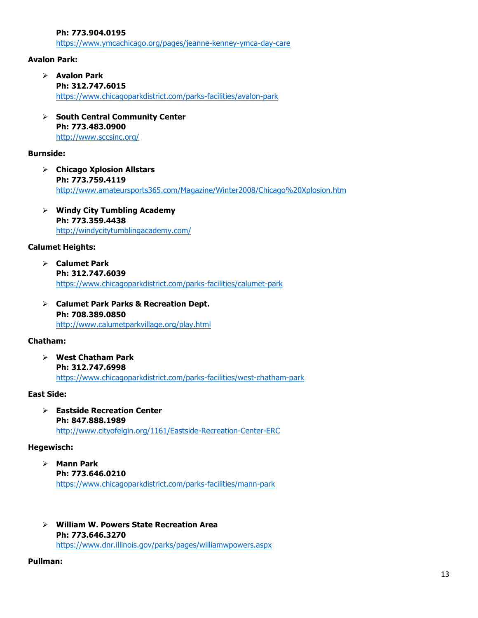**Ph: 773.904.0195**

https://www.ymcachicago.org/pages/jeanne-kenney-ymca-day-care

#### **Avalon Park:**

- Ø **Avalon Park Ph: 312.747.6015** https://www.chicagoparkdistrict.com/parks-facilities/avalon-park
- Ø **South Central Community Center Ph: 773.483.0900** http://www.sccsinc.org/

#### **Burnside:**

- Ø **Chicago Xplosion Allstars Ph: 773.759.4119**  http://www.amateursports365.com/Magazine/Winter2008/Chicago%20Xplosion.htm
- Ø **Windy City Tumbling Academy Ph: 773.359.4438** http://windycitytumblingacademy.com/

#### **Calumet Heights:**

- Ø **Calumet Park Ph: 312.747.6039** https://www.chicagoparkdistrict.com/parks-facilities/calumet-park
- Ø **Calumet Park Parks & Recreation Dept. Ph: 708.389.0850** http://www.calumetparkvillage.org/play.html

#### **Chatham:**

Ø **West Chatham Park Ph: 312.747.6998** https://www.chicagoparkdistrict.com/parks-facilities/west-chatham-park

#### **East Side:**

Ø **Eastside Recreation Center Ph: 847.888.1989** http://www.cityofelgin.org/1161/Eastside-Recreation-Center-ERC

#### **Hegewisch:**

- Ø **Mann Park Ph: 773.646.0210** https://www.chicagoparkdistrict.com/parks-facilities/mann-park
- Ø **William W. Powers State Recreation Area Ph: 773.646.3270** https://www.dnr.illinois.gov/parks/pages/williamwpowers.aspx

#### **Pullman:**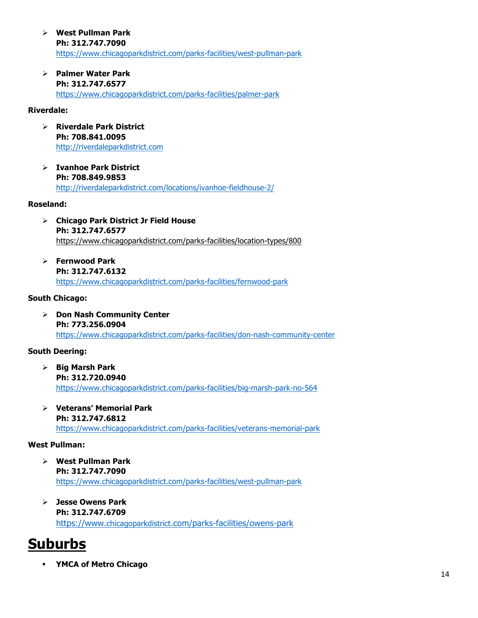- Ø **West Pullman Park Ph: 312.747.7090** https://www.chicagoparkdistrict.com/parks-facilities/west-pullman-park
- Ø **Palmer Water Park Ph: 312.747.6577** https://www.chicagoparkdistrict.com/parks-facilities/palmer-park

#### **Riverdale:**

- Ø **Riverdale Park District Ph: 708.841.0095** http://riverdaleparkdistrict.com
- Ø **Ivanhoe Park District Ph: 708.849.9853** http://riverdaleparkdistrict.com/locations/ivanhoe-fieldhouse-2/

#### **Roseland:**

- Ø **Chicago Park District Jr Field House Ph: 312.747.6577** https://www.chicagoparkdistrict.com/parks-facilities/location-types/800
- Ø **Fernwood Park Ph: 312.747.6132** https://www.chicagoparkdistrict.com/parks-facilities/fernwood-park

#### **South Chicago:**

Ø **Don Nash Community Center Ph: 773.256.0904** https://www.chicagoparkdistrict.com/parks-facilities/don-nash-community-center

#### **South Deering:**

- Ø **Big Marsh Park Ph: 312.720.0940** https://www.chicagoparkdistrict.com/parks-facilities/big-marsh-park-no-564
- Ø **Veterans' Memorial Park Ph: 312.747.6812** https://www.chicagoparkdistrict.com/parks-facilities/veterans-memorial-park

#### **West Pullman:**

- Ø **West Pullman Park Ph: 312.747.7090** https://www.chicagoparkdistrict.com/parks-facilities/west-pullman-park
- Ø **Jesse Owens Park Ph: 312.747.6709** https://www.chicagoparkdistrict.com/parks-facilities/owens-park

# **Suburbs**

§ **YMCA of Metro Chicago**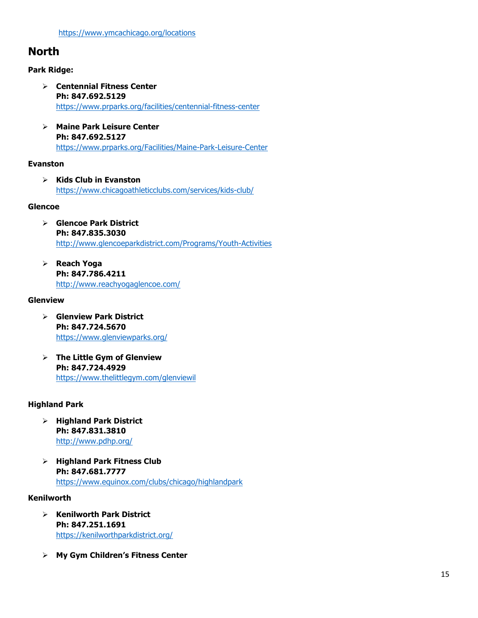# **North**

#### **Park Ridge:**

- Ø **Centennial Fitness Center Ph: 847.692.5129** https://www.prparks.org/facilities/centennial-fitness-center
- Ø **Maine Park Leisure Center Ph: 847.692.5127** https://www.prparks.org/Facilities/Maine-Park-Leisure-Center

#### **Evanston**

Ø **Kids Club in Evanston**  https://www.chicagoathleticclubs.com/services/kids-club/

#### **Glencoe**

- Ø **Glencoe Park District Ph: 847.835.3030** http://www.glencoeparkdistrict.com/Programs/Youth-Activities
- Ø **Reach Yoga Ph: 847.786.4211** http://www.reachyogaglencoe.com/

#### **Glenview**

- Ø **Glenview Park District Ph: 847.724.5670**  https://www.glenviewparks.org/
- Ø **The Little Gym of Glenview Ph: 847.724.4929**  https://www.thelittlegym.com/glenviewil

#### **Highland Park**

- Ø **Highland Park District Ph: 847.831.3810** http://www.pdhp.org/
- Ø **Highland Park Fitness Club Ph: 847.681.7777** https://www.equinox.com/clubs/chicago/highlandpark

#### **Kenilworth**

- Ø **Kenilworth Park District Ph: 847.251.1691**  https://kenilworthparkdistrict.org/
- Ø **My Gym Children's Fitness Center**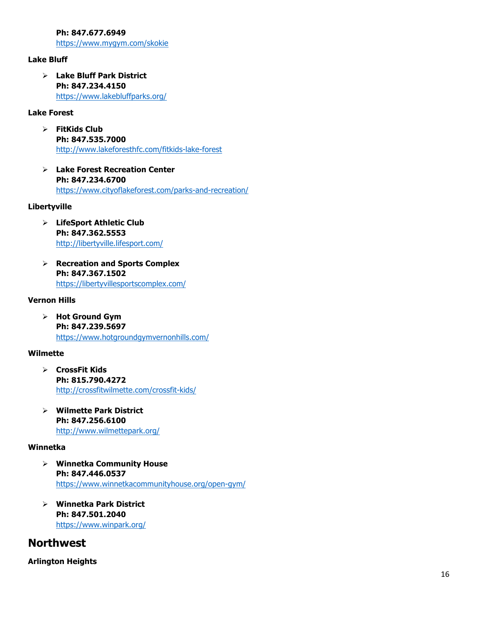**Ph: 847.677.6949**

https://www.mygym.com/skokie

#### **Lake Bluff**

Ø **Lake Bluff Park District Ph: 847.234.4150**  https://www.lakebluffparks.org/

#### **Lake Forest**

- Ø **FitKids Club Ph: 847.535.7000** http://www.lakeforesthfc.com/fitkids-lake-forest
- Ø **Lake Forest Recreation Center Ph: 847.234.6700**  https://www.cityoflakeforest.com/parks-and-recreation/

#### **Libertyville**

- Ø **LifeSport Athletic Club Ph: 847.362.5553**  http://libertyville.lifesport.com/
- Ø **Recreation and Sports Complex Ph: 847.367.1502** https://libertyvillesportscomplex.com/

#### **Vernon Hills**

Ø **Hot Ground Gym Ph: 847.239.5697**  https://www.hotgroundgymvernonhills.com/

#### **Wilmette**

- Ø **CrossFit Kids Ph: 815.790.4272** http://crossfitwilmette.com/crossfit-kids/
- Ø **Wilmette Park District Ph: 847.256.6100** http://www.wilmettepark.org/

#### **Winnetka**

- Ø **Winnetka Community House Ph: 847.446.0537** https://www.winnetkacommunityhouse.org/open-gym/
- Ø **Winnetka Park District Ph: 847.501.2040** https://www.winpark.org/

### **Northwest**

**Arlington Heights**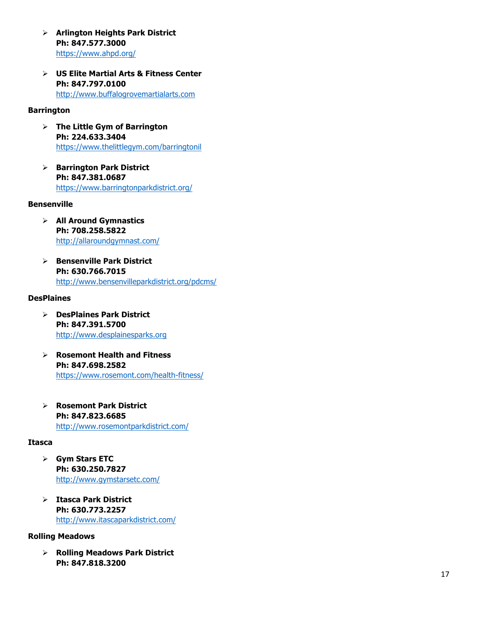- Ø **Arlington Heights Park District Ph: 847.577.3000** https://www.ahpd.org/
- Ø **US Elite Martial Arts & Fitness Center Ph: 847.797.0100** http://www.buffalogrovemartialarts.com

#### **Barrington**

- Ø **The Little Gym of Barrington Ph: 224.633.3404** https://www.thelittlegym.com/barringtonil
- Ø **Barrington Park District Ph: 847.381.0687**  https://www.barringtonparkdistrict.org/

#### **Bensenville**

- Ø **All Around Gymnastics Ph: 708.258.5822** http://allaroundgymnast.com/
- Ø **Bensenville Park District Ph: 630.766.7015** http://www.bensenvilleparkdistrict.org/pdcms/

#### **DesPlaines**

- Ø **DesPlaines Park District Ph: 84 7.391 .5700** http://www.desplainesparks.org
- Ø **Rosemont Health and Fitness Ph: 847.698.2582** https://www.rosemont.com/health -fitness/
- Ø **Rosemont Park District Ph: 847.823.6685** http://www.rosemontparkdistrict.com/

#### **Itasca**

- Ø **Gym Stars ETC Ph: 630.250.7827** http://www.gymstarsetc.com/
- Ø **Itasca Park District Ph: 630.773.2257**  http://www.itascaparkdistrict.com/

#### **Rolling Meadows**

Ø **Rolling Meadows Park District Ph: 847.818.3200**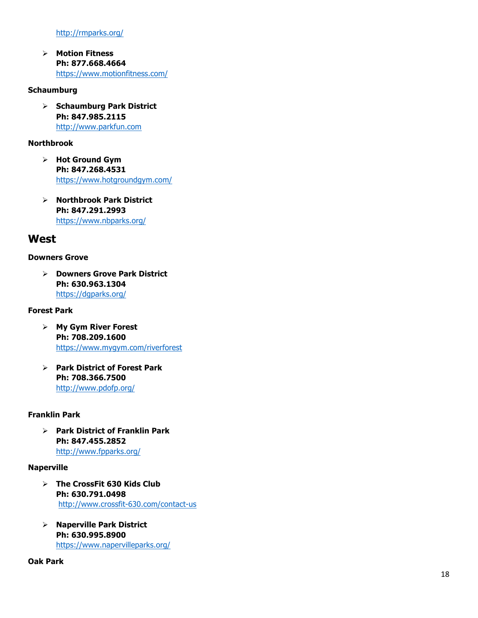http://rmparks.org/

Ø **Motion Fitness Ph: 877.668.4664** https://www.motionfitness.com/

#### **Schaumburg**

Ø **Schaumburg Park District Ph: 847.985.2115** http://www.parkfun.com

#### **Northbrook**

- Ø **Hot Ground Gym Ph: 847.268.4531** https://www.hotgroundgym.com/
- Ø **Northbrook Park District Ph: 847.291.2993** https://www.nbparks.org/

### **West**

#### **Downers Grove**

Ø **Downers Grove Park District Ph: 630.963.1304**  https://dgparks.org/

#### **Forest Park**

- Ø **My Gym River Forest Ph: 708.209.1600** https://www.mygym.com/riverforest
- Ø **Park District of Forest Park Ph: 708.366.7500** http://www.pdofp.org/

#### **Franklin Park**

Ø **Park District of Franklin Park Ph: 847 .455 .2852** http://www.fpparks.org/

#### **Naperville**

- Ø **The CrossFit 630 Kids Club Ph: 630.791.0498** http://www.crossfit -630.com/contact -us
- Ø **Naperville Park District Ph: 630.995.8900**  https://www.napervilleparks.org/

#### **Oak Park**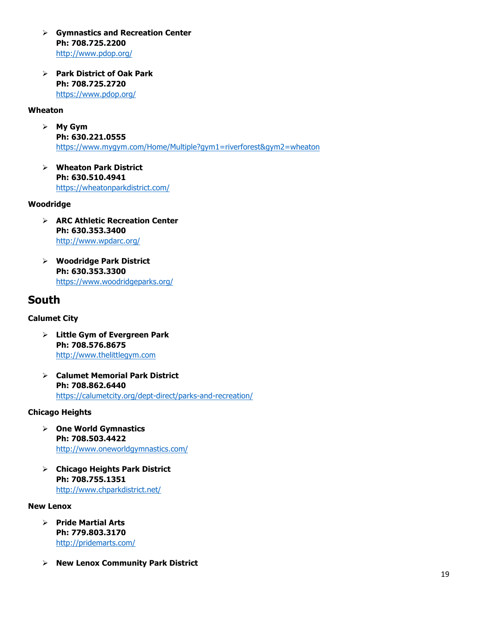- Ø **Gymnastics and Recreation Center Ph: 708.725.2200**  http://www.pdop.org/
- Ø **Park District of Oak Park Ph: 708.725.2720**  https://www.pdop.org/

#### **Wheaton**

- Ø **My Gym Ph: 630.221.0555** https://www.mygym.com/Home/Multiple?gym1=riverforest&gym2=wheaton
- Ø **Wheaton Park District Ph: 630.510.4941**  https://wheatonparkdistrict.com/

#### **Woodridge**

- Ø **ARC Athletic Recreation Center Ph: 630.353.3400** http://www.wpdarc.org/
- Ø **Woodridge Park District Ph: 630.353.3300**  https://www.woodridgeparks.org/

## **South**

#### **Calumet City**

- Ø **Little Gym of Evergreen Park Ph: 708.576.8675**  http://www.thelittlegym.com
- Ø **Calumet Memorial Park District Ph: 708.862.6440** https://calumetcity.org/dept-direct/parks-and-recreation/

#### **Chicago Heights**

- Ø **One World Gymnastics Ph: 708.503.4422** http://www.oneworldgymnastics.com/
- Ø **Chicago Heights Park District Ph: 708.755.1351**  http://www.chparkdistrict.net/

#### **New Lenox**

- Ø **Pride Martial Arts Ph: 779.803.3170** http://pridemarts.com/
- Ø **New Lenox Community Park District**